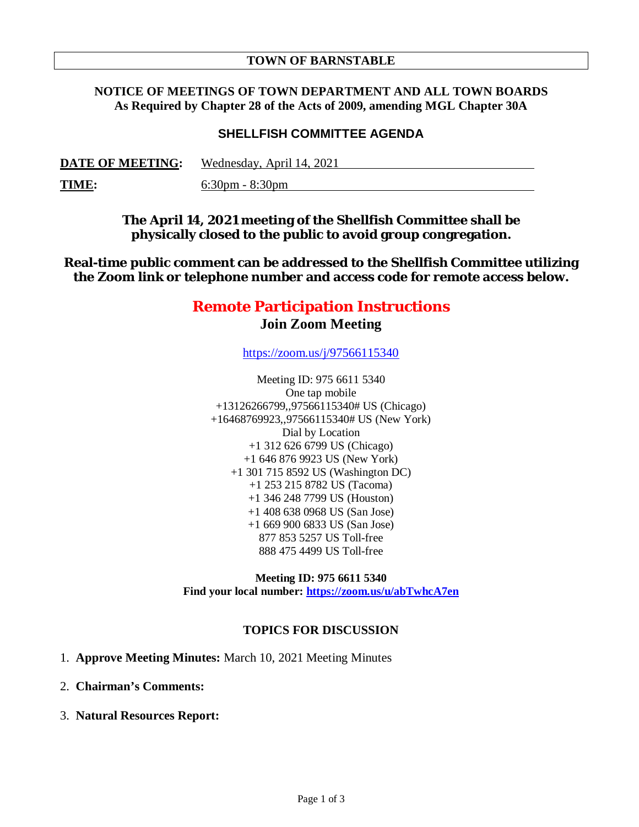#### **TOWN OF BARNSTABLE**

### **NOTICE OF MEETINGS OF TOWN DEPARTMENT AND ALL TOWN BOARDS As Required by Chapter 28 of the Acts of 2009, amending MGL Chapter 30A**

## **SHELLFISH COMMITTEE AGENDA**

| <b>DATE OF MEETING:</b> | Wednesday, April 14, 2021         |
|-------------------------|-----------------------------------|
| <u>TIME:</u>            | $6:30 \text{pm} - 8:30 \text{pm}$ |

**The April 14, 2021 meeting of the Shellfish Committee shall be physically closed to the public to avoid group congregation.**

**Real-time public comment can be addressed to the Shellfish Committee utilizing the Zoom link or telephone number and access code for remote access below.**

# **Remote Participation Instructions Join Zoom Meeting**

https://zoom.us/j/97566115340

Meeting ID: 975 6611 5340 One tap mobile +13126266799,,97566115340# US (Chicago) +16468769923,,97566115340# US (New York) Dial by Location +1 312 626 6799 US (Chicago) +1 646 876 9923 US (New York) +1 301 715 8592 US (Washington DC) +1 253 215 8782 US (Tacoma) +1 346 248 7799 US (Houston) +1 408 638 0968 US (San Jose) +1 669 900 6833 US (San Jose) 877 853 5257 US Toll-free 888 475 4499 US Toll-free

**Meeting ID: 975 6611 5340 Find your local number: https://zoom.us/u/abTwhcA7en**

### **TOPICS FOR DISCUSSION**

- 1. **Approve Meeting Minutes:** March 10, 2021 Meeting Minutes
- 2. **Chairman's Comments:**
- 3. **Natural Resources Report:**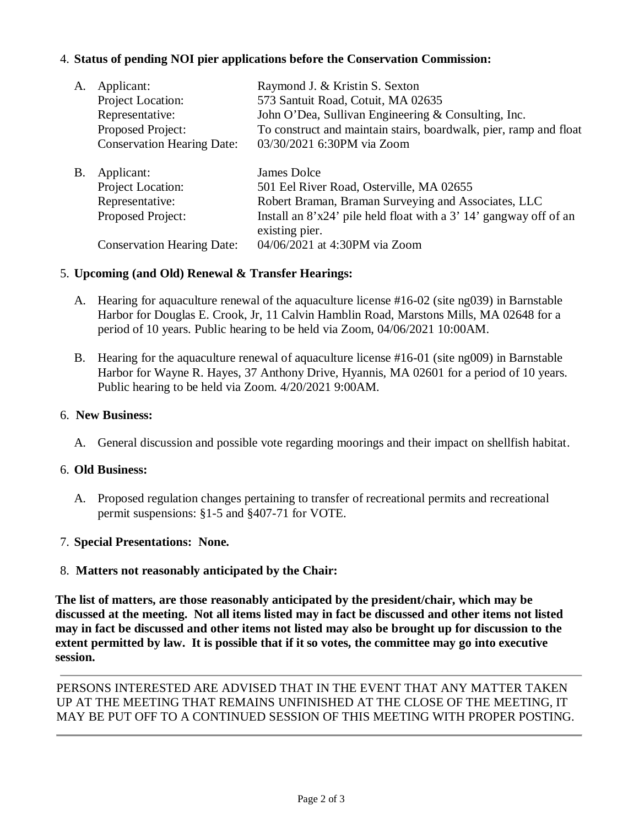# 4. **Status of pending NOI pier applications before the Conservation Commission:**

| A. | Applicant:                        | Raymond J. & Kristin S. Sexton                                                        |
|----|-----------------------------------|---------------------------------------------------------------------------------------|
|    | Project Location:                 | 573 Santuit Road, Cotuit, MA 02635                                                    |
|    | Representative:                   | John O'Dea, Sullivan Engineering & Consulting, Inc.                                   |
|    | Proposed Project:                 | To construct and maintain stairs, boardwalk, pier, ramp and float                     |
|    | <b>Conservation Hearing Date:</b> | 03/30/2021 6:30PM via Zoom                                                            |
| B. | Applicant:                        | James Dolce                                                                           |
|    | Project Location:                 | 501 Eel River Road, Osterville, MA 02655                                              |
|    | Representative:                   | Robert Braman, Braman Surveying and Associates, LLC                                   |
|    | Proposed Project:                 | Install an $8'x24'$ pile held float with a 3' 14' gangway off of an<br>existing pier. |
|    | <b>Conservation Hearing Date:</b> | 04/06/2021 at 4:30PM via Zoom                                                         |

### 5. **Upcoming (and Old) Renewal & Transfer Hearings:**

- A. Hearing for aquaculture renewal of the aquaculture license #16-02 (site ng039) in Barnstable Harbor for Douglas E. Crook, Jr, 11 Calvin Hamblin Road, Marstons Mills, MA 02648 for a period of 10 years. Public hearing to be held via Zoom, 04/06/2021 10:00AM.
- B. Hearing for the aquaculture renewal of aquaculture license #16-01 (site ng009) in Barnstable Harbor for Wayne R. Hayes, 37 Anthony Drive, Hyannis, MA 02601 for a period of 10 years. Public hearing to be held via Zoom. 4/20/2021 9:00AM.

#### 6. **New Business:**

A. General discussion and possible vote regarding moorings and their impact on shellfish habitat.

### 6. **Old Business:**

A. Proposed regulation changes pertaining to transfer of recreational permits and recreational permit suspensions: §1-5 and §407-71 for VOTE.

### 7. **Special Presentations: None.**

### 8. **Matters not reasonably anticipated by the Chair:**

**The list of matters, are those reasonably anticipated by the president/chair, which may be discussed at the meeting. Not all items listed may in fact be discussed and other items not listed may in fact be discussed and other items not listed may also be brought up for discussion to the extent permitted by law. It is possible that if it so votes, the committee may go into executive session.** 

PERSONS INTERESTED ARE ADVISED THAT IN THE EVENT THAT ANY MATTER TAKEN UP AT THE MEETING THAT REMAINS UNFINISHED AT THE CLOSE OF THE MEETING, IT MAY BE PUT OFF TO A CONTINUED SESSION OF THIS MEETING WITH PROPER POSTING.